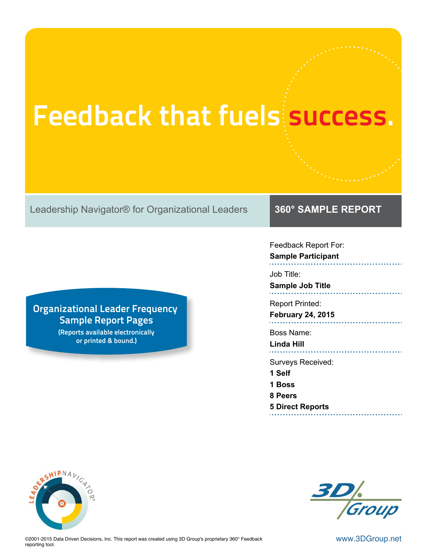# **Feedback that fuels success.**

Leadership Navigator® for Organizational Leaders **360° SAMPLE REPORT**

# **Organizational Leader Frequency Sample Report Pages**

**(Reports available electronically or printed & bound.)**

Feedback Report For: **Sample Participant**

Job Title:

**Sample Job Title**

Report Printed:

**February 24, 2015**

Boss Name:

**Linda Hill**

Surveys Received:

**1 Self**

**1 Boss**

**8 Peers**

**5 Direct Reports**





©2001-2015 Data Driven Decisions, Inc. This report was created using 3D Group's proprietary 360° Feedback WWW. $3\mathsf{DGroup}.{\sf net}$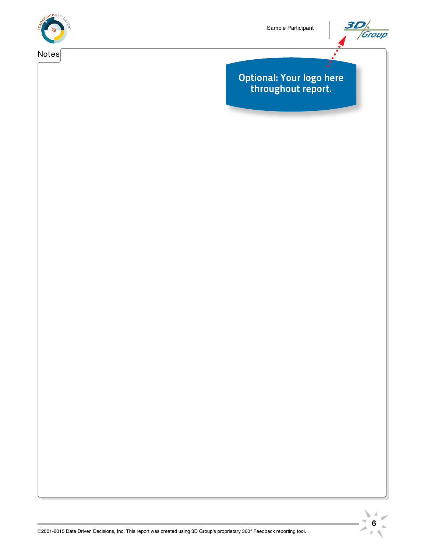



### **Optional: Your logo here throughout report.**

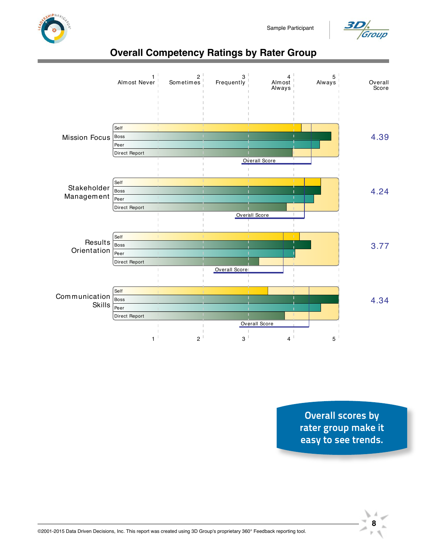



# **Overall Competency Ratings by Rater Group**



**Overall scores by rater group make it easy to see trends.**

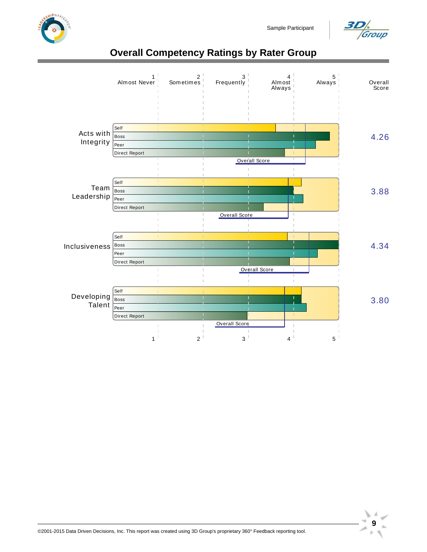



# **Overall Competency Ratings by Rater Group**



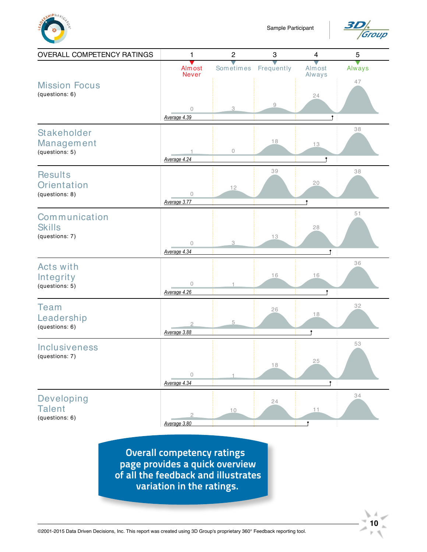



 $10<sup>7</sup>$ 

レイ

 $\mathbb{R}^2$ 

| <b>OVERALL COMPETENCY RATINGS</b>                      | 1                              | $\overline{c}$            | $\ensuremath{\mathsf{3}}$ | $\overline{\mathbf{4}}$ | $\mathbf 5$ |
|--------------------------------------------------------|--------------------------------|---------------------------|---------------------------|-------------------------|-------------|
|                                                        | Almost<br><b>Never</b>         | Sometimes                 | Frequently                | Almost<br>Always        | Always      |
| <b>Mission Focus</b><br>(questions: 6)                 | $\circ$<br>Average 4.39        | $\ensuremath{\mathsf{3}}$ | $\hbox{ }9$               | 24                      | 47          |
| <b>Stakeholder</b><br>Management<br>(questions: 5)     | Average 4.24                   | $\circ$                   | 18                        | 13                      | 38          |
| <b>Results</b><br><b>Orientation</b><br>(questions: 8) | $\mathcal O$<br>Average 3.77   | 12                        | 39                        | 20<br>Ť                 | 38          |
| Communication<br><b>Skills</b><br>(questions: 7)       | $\mathcal O$<br>Average 4.34   | 3                         | 13                        | 28<br>۴                 | 51          |
| <b>Acts with</b><br>Integrity<br>(questions: 5)        | 0<br>Average 4.26              | $\overline{1}$            | 16                        | 16<br>۴                 | 36          |
| <b>Team</b><br>Leadership<br>(questions: 6)            | Average 3.88                   | 5                         | 26                        | 18<br>î                 | 32          |
| <b>Inclusiveness</b><br>(questions: 7)                 | $\mathcal O$<br>Average 4.34   | 1                         | 18                        | 25                      | 53          |
| Developing<br><b>Talent</b><br>(questions: 6)          | $\overline{2}$<br>Average 3.80 | $10$                      | 24                        | 11<br>î                 | 34          |

**Overall competency ratings page provides a quick overview of all the feedback and illustrates variation in the ratings.** 

©2001-2015 Data Driven Decisions, Inc. This report was created using 3D Group's proprietary 360° Feedback reporting tool.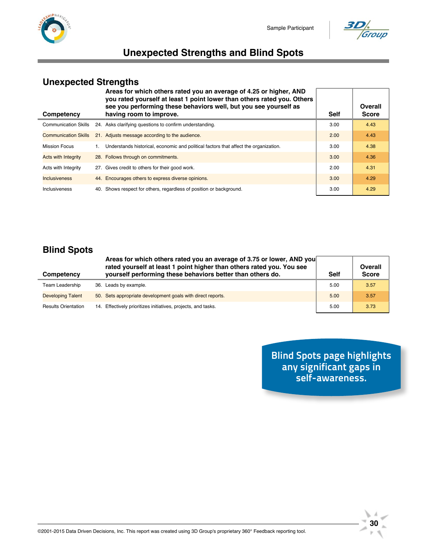



## **Unexpected Strengths and Blind Spots**

#### **Unexpected Strengths**

| Areas for which others rated you an average of 4.25 or higher, AND<br>you rated yourself at least 1 point lower than others rated you. Others<br>see you performing these behaviors well, but you see yourself as<br>having room to improve.<br>Competency |  | <b>Self</b>                                                                          | Overall<br><b>Score</b> |      |
|------------------------------------------------------------------------------------------------------------------------------------------------------------------------------------------------------------------------------------------------------------|--|--------------------------------------------------------------------------------------|-------------------------|------|
| <b>Communication Skills</b>                                                                                                                                                                                                                                |  | 24. Asks clarifying questions to confirm understanding.                              | 3.00                    | 4.43 |
| <b>Communication Skills</b>                                                                                                                                                                                                                                |  | 21. Adjusts message according to the audience.                                       | 2.00                    | 4.43 |
| <b>Mission Focus</b>                                                                                                                                                                                                                                       |  | Understands historical, economic and political factors that affect the organization. | 3.00                    | 4.38 |
| <b>Acts with Integrity</b>                                                                                                                                                                                                                                 |  | 28. Follows through on commitments.                                                  | 3.00                    | 4.36 |
| Acts with Integrity                                                                                                                                                                                                                                        |  | 27. Gives credit to others for their good work.                                      | 2.00                    | 4.31 |
| <b>Inclusiveness</b>                                                                                                                                                                                                                                       |  | 44. Encourages others to express diverse opinions.                                   | 3.00                    | 4.29 |
| <b>Inclusiveness</b>                                                                                                                                                                                                                                       |  | 40. Shows respect for others, regardless of position or background.                  | 3.00                    | 4.29 |

#### **Blind Spots**

| Competency                 | Areas for which others rated you an average of 3.75 or lower, AND you<br>rated yourself at least 1 point higher than others rated you. You see<br>yourself performing these behaviors better than others do. | <b>Self</b> | Overall<br><b>Score</b> |
|----------------------------|--------------------------------------------------------------------------------------------------------------------------------------------------------------------------------------------------------------|-------------|-------------------------|
| Team Leadership            | 36. Leads by example.                                                                                                                                                                                        | 5.00        | 3.57                    |
| <b>Developing Talent</b>   | 50. Sets appropriate development goals with direct reports.                                                                                                                                                  | 5.00        | 3.57                    |
| <b>Results Orientation</b> | 14. Effectively prioritizes initiatives, projects, and tasks.                                                                                                                                                | 5.00        | 3.73                    |

**Blind Spots page highlights any significant gaps in self-awareness.**